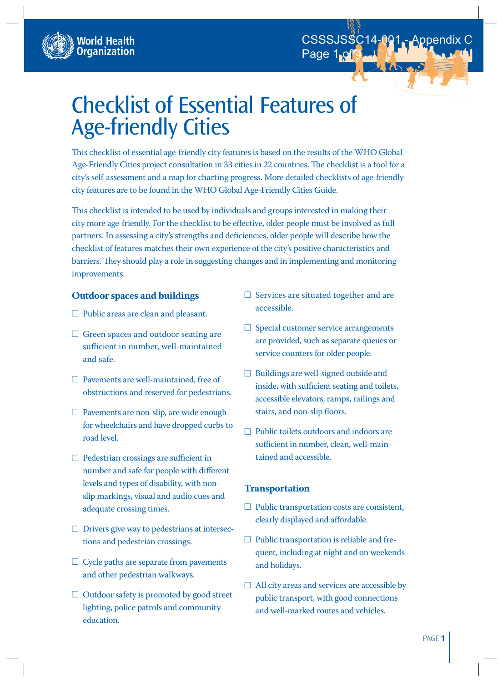

# Checklist of Essential Features of Age-friendly Cities

This checklist of essential age-friendly city features is based on the results of the WHO Global Age-Friendly Cities project consultation in 33 cities in 22 countries. The checklist is a tool for a city's self-assessment and a map for charting progress. More detailed checklists of age-friendly city features are to be found in the WHO Global Age-Friendly Cities Guide.

This checklist is intended to be used by individuals and groups interested in making their city more age-friendly. For the checklist to be effective, older people must be involved as full partners. In assessing a city's strengths and deficiencies, older people will describe how the checklist of features matches their own experience of the city's positive characteristics and barriers. They should play a role in suggesting changes and in implementing and monitoring improvements.

## **Outdoor spaces and buildings**

- ☐ Public areas are clean and pleasant.
- $\Box$  Green spaces and outdoor seating are sufficient in number, well-maintained and safe.
- □ Pavements are well-maintained, free of obstructions and reserved for pedestrians.
- □ Pavements are non-slip, are wide enough for wheelchairs and have dropped curbs to road level.
- $\Box$  Pedestrian crossings are sufficient in number and safe for people with different levels and types of disability, with nonslip markings, visual and audio cues and adequate crossing times.
- $\Box$  Drivers give way to pedestrians at intersections and pedestrian crossings.
- $\Box$  Cycle paths are separate from pavements and other pedestrian walkways.
- □ Outdoor safety is promoted by good street lighting, police patrols and community education.
- □ Services are situated together and are accessible.
- $\Box$  Special customer service arrangements are provided, such as separate queues or service counters for older people.
- ☐ Buildings are well-signed outside and inside, with sufficient seating and toilets, accessible elevators, ramps, railings and stairs, and non-slip floors.
- ☐ Public toilets outdoors and indoors are sufficient in number, clean, well-maintained and accessible.

## **Transportation**

- $\Box$  Public transportation costs are consistent, clearly displayed and affordable.
- □ Public transportation is reliable and frequent, including at night and on weekends and holidays.
- $\Box$  All city areas and services are accessible by public transport, with good connections and well-marked routes and vehicles.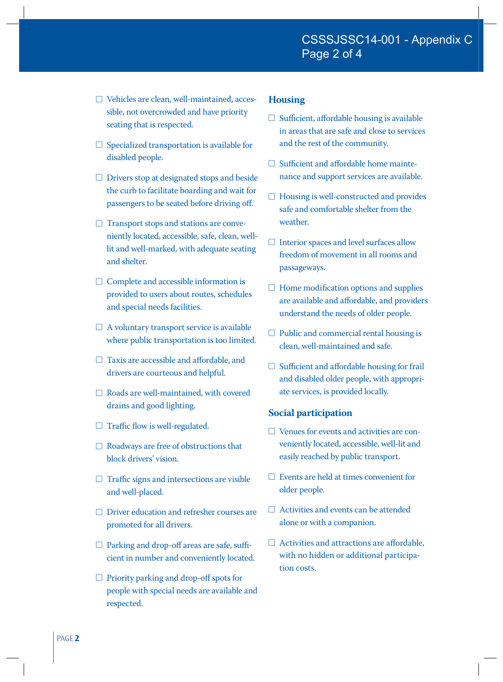- ☐ Vehicles are clean, well-maintained, accessible, not overcrowded and have priority seating that is respected.
- $\Box$  Specialized transportation is available for disabled people.
- ☐ Drivers stop at designated stops and beside the curb to facilitate boarding and wait for passengers to be seated before driving off.
- $\Box$  Transport stops and stations are conveniently located, accessible, safe, clean, welllit and well-marked, with adequate seating and shelter.
- $\Box$  Complete and accessible information is provided to users about routes, schedules and special needs facilities.
- $\Box$  A voluntary transport service is available where public transportation is too limited.
- $\Box$  Taxis are accessible and affordable, and drivers are courteous and helpful.
- ☐ Roads are well-maintained, with covered drains and good lighting.
- $\Box$  Traffic flow is well-regulated.
- $\Box$  Roadways are free of obstructions that block drivers' vision.
- $\Box$  Traffic signs and intersections are visible and well-placed.
- ☐ Driver education and refresher courses are promoted for all drivers.
- $\Box$  Parking and drop-off areas are safe, sufficient in number and conveniently located.
- $\Box$  Priority parking and drop-off spots for people with special needs are available and respected.

### **Housing**

- $\Box$  Sufficient, affordable housing is available in areas that are safe and close to services and the rest of the community.
- $\Box$  Sufficient and affordable home maintenance and support services are available.
- $\Box$  Housing is well-constructed and provides safe and comfortable shelter from the weather.
- $\Box$  Interior spaces and level surfaces allow freedom of movement in all rooms and passageways.
- $\Box$  Home modification options and supplies are available and affordable, and providers understand the needs of older people.
- $\Box$  Public and commercial rental housing is clean, well-maintained and safe.
- $\Box$  Sufficient and affordable housing for frail and disabled older people, with appropriate services, is provided locally.

## **Social participation**

- $\Box$  Venues for events and activities are conveniently located, accessible, well-lit and easily reached by public transport.
- $\Box$  Events are held at times convenient for older people.
- □ Activities and events can be attended alone or with a companion.
- $\Box$  Activities and attractions are affordable, with no hidden or additional participation costs.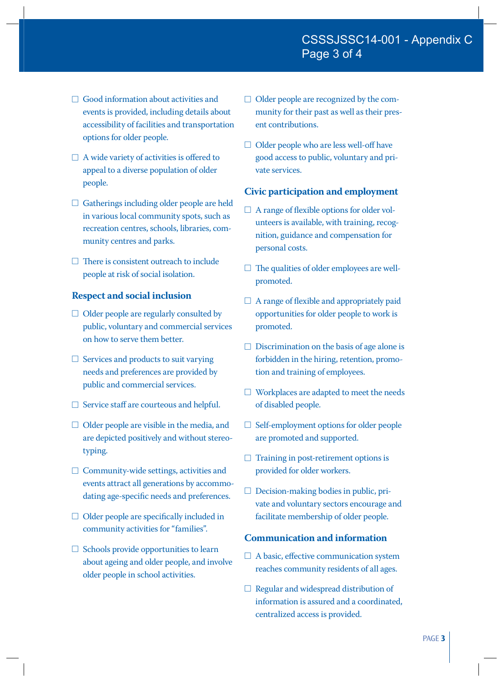- □ Good information about activities and events is provided, including details about accessibility of facilities and transportation options for older people.
- $\Box$  A wide variety of activities is offered to appeal to a diverse population of older people.
- □ Gatherings including older people are held in various local community spots, such as recreation centres, schools, libraries, community centres and parks.
- $\Box$  There is consistent outreach to include people at risk of social isolation.

#### **Respect and social inclusion**

- □ Older people are regularly consulted by public, voluntary and commercial services on how to serve them better.
- $\Box$  Services and products to suit varying needs and preferences are provided by public and commercial services.
- $\Box$  Service staff are courteous and helpful.
- $\Box$  Older people are visible in the media, and are depicted positively and without stereotyping.
- ☐ Community-wide settings, activities and events attract all generations by accommodating age-specific needs and preferences.
- $\Box$  Older people are specifically included in community activities for "families".
- □ Schools provide opportunities to learn about ageing and older people, and involve older people in school activities.
- $\Box$  Older people are recognized by the community for their past as well as their present contributions.
- □ Older people who are less well-off have good access to public, voluntary and private services.

### **Civic participation and employment**

- $\Box$  A range of flexible options for older volunteers is available, with training, recognition, guidance and compensation for personal costs.
- $\Box$  The qualities of older employees are wellpromoted.
- $\Box$  A range of flexible and appropriately paid opportunities for older people to work is promoted.
- $\Box$  Discrimination on the basis of age alone is forbidden in the hiring, retention, promotion and training of employees.
- ☐ Workplaces are adapted to meet the needs of disabled people.
- ☐ Self-employment options for older people are promoted and supported.
- $\Box$  Training in post-retirement options is provided for older workers.
- $\Box$  Decision-making bodies in public, private and voluntary sectors encourage and facilitate membership of older people.

## **Communication and information**

- $\Box$  A basic, effective communication system reaches community residents of all ages.
- $\Box$  Regular and widespread distribution of information is assured and a coordinated, centralized access is provided.